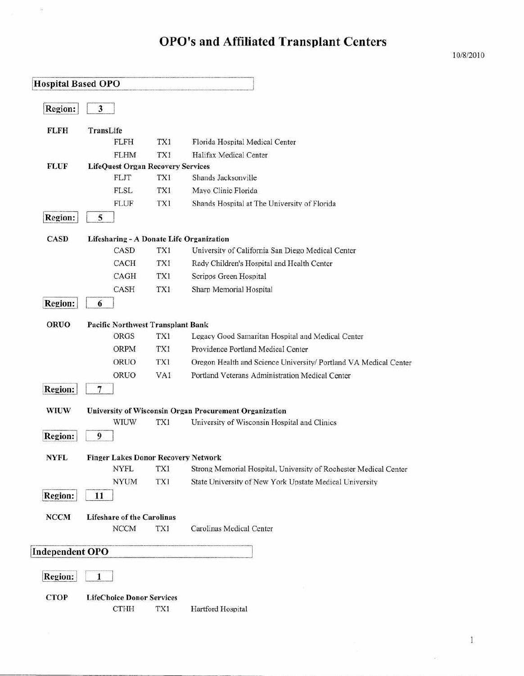$\bar{\alpha}$ 

| <b>Hospital Based OPO</b> |                                            |     |                                                                  |
|---------------------------|--------------------------------------------|-----|------------------------------------------------------------------|
|                           |                                            |     |                                                                  |
| <b>Region:</b>            | $\overline{\mathbf{3}}$                    |     |                                                                  |
| <b>FLFH</b>               | TransLife                                  |     |                                                                  |
|                           | <b>FLFH</b>                                | TX1 | Florida Hospital Medical Center                                  |
|                           | <b>FLHM</b>                                | TX1 | Halifax Medical Center                                           |
| <b>FLUF</b>               | <b>LifeQuest Organ Recovery Services</b>   |     |                                                                  |
|                           | <b>FLJT</b>                                | TX1 | Shands Jacksonville                                              |
|                           | <b>FLSL</b>                                | TX1 | Mayo Clinic Florida                                              |
|                           | <b>FLUF</b>                                | TX1 | Shands Hospital at The University of Florida                     |
| <b>Region:</b>            | 5                                          |     |                                                                  |
| <b>CASD</b>               | Lifesharing - A Donate Life Organization   |     |                                                                  |
|                           | CASD                                       | TX1 | University of California San Diego Medical Center                |
|                           | <b>CACH</b>                                | TX1 | Rady Children's Hospital and Health Center                       |
|                           | CAGH                                       | TX1 | Scripps Green Hospital                                           |
|                           | CASH                                       | TX1 | Sharp Memorial Hospital                                          |
| Region:                   | 6                                          |     |                                                                  |
| <b>ORUO</b>               | <b>Pacific Northwest Transplant Bank</b>   |     |                                                                  |
|                           | <b>ORGS</b>                                | TX1 | Legacy Good Samaritan Hospital and Medical Center                |
|                           | <b>ORPM</b>                                | TX1 | Providence Portland Medical Center                               |
|                           | ORUO                                       | TX1 |                                                                  |
|                           |                                            |     | Oregon Health and Science University/ Portland VA Medical Center |
|                           | ORUO                                       | VA1 | Portland Veterans Administration Medical Center                  |
| <b>Region:</b>            | $\overline{7}$                             |     |                                                                  |
| <b>WIUW</b>               |                                            |     | University of Wisconsin Organ Procurement Organization           |
|                           | <b>WIUW</b>                                | TX1 | University of Wisconsin Hospital and Clinics                     |
| <b>Region:</b>            | 9                                          |     |                                                                  |
| <b>NYFL</b>               | <b>Finger Lakes Donor Recovery Network</b> |     |                                                                  |
|                           | <b>NYFL</b>                                | TX1 | Strong Memorial Hospital, University of Rochester Medical Center |
|                           | <b>NYUM</b>                                | TX1 | State University of New York Upstate Medical University          |
| <b>Region:</b>            | 11                                         |     |                                                                  |
| <b>NCCM</b>               | <b>Lifeshare of the Carolinas</b>          |     |                                                                  |
|                           | <b>NCCM</b>                                | TX1 | Carolinas Medical Center                                         |
|                           |                                            |     |                                                                  |
| Independent OPO           |                                            |     |                                                                  |
| <b>Region:</b>            | $\mathbf{1}$                               |     |                                                                  |
|                           |                                            |     |                                                                  |
| <b>CTOP</b>               | <b>LifeChoice Donor Services</b>           |     |                                                                  |
|                           | <b>CTHH</b>                                | TX1 | Hartford Hospital                                                |

 $\mathbf{1}$ 

 $\mathcal{S}$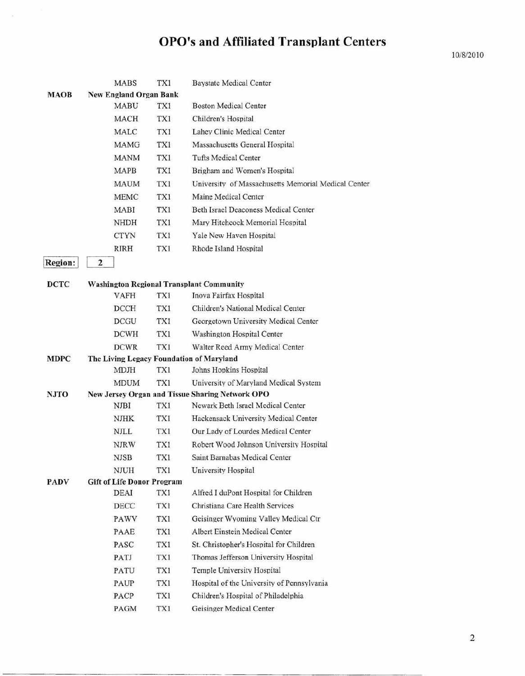|                |   | <b>MABS</b>                                      | TX1 | <b>Baystate Medical Center</b>                      |
|----------------|---|--------------------------------------------------|-----|-----------------------------------------------------|
| MAOB           |   | <b>New England Organ Bank</b>                    |     |                                                     |
|                |   | MABU                                             | TX1 | <b>Boston Medical Center</b>                        |
|                |   | <b>MACH</b>                                      | TX1 | Children's Hospital                                 |
|                |   | <b>MALC</b>                                      | TX1 | Lahev Clinic Medical Center                         |
|                |   | <b>MAMG</b>                                      | TX1 | Massachusetts General Hospital                      |
|                |   | <b>MANM</b>                                      | TX1 | Tufts Medical Center                                |
|                |   | <b>MAPB</b>                                      | TX1 | Brigham and Women's Hospital                        |
|                |   | <b>MAUM</b>                                      | TX1 | University of Massachusetts Memorial Medical Center |
|                |   | <b>MEMC</b>                                      | TX1 | Maine Medical Center                                |
|                |   | <b>MABI</b>                                      | TX1 | Beth Israel Deaconess Medical Center                |
|                |   | <b>NHDH</b>                                      | TX1 | Mary Hitchcock Memorial Hospital                    |
|                |   | <b>CTYN</b>                                      | TX1 | Yale New Haven Hospital                             |
|                |   | <b>RIRH</b>                                      | TX1 | Rhode Island Hospital                               |
| <b>Region:</b> | 2 |                                                  |     |                                                     |
| <b>DCTC</b>    |   |                                                  |     | <b>Washington Regional Transplant Community</b>     |
|                |   | <b>VAFH</b>                                      | TX1 | Inova Fairfax Hospital                              |
|                |   | DCCH                                             | TX1 | Children's National Medical Center                  |
|                |   | <b>DCGU</b>                                      | TX1 | Georgetown University Medical Center                |
|                |   | <b>DCWH</b>                                      | TX1 | Washington Hospital Center                          |
|                |   | <b>DCWR</b>                                      | TX1 | Walter Reed Army Medical Center                     |
| <b>MDPC</b>    |   |                                                  |     | The Living Legacy Foundation of Maryland            |
|                |   | <b>MDJH</b>                                      | TX1 | Johns Hopkins Hospital                              |
|                |   | <b>MDUM</b>                                      | TX1 | University of Maryland Medical System               |
| <b>NJTO</b>    |   |                                                  |     | New Jersey Organ and Tissue Sharing Network OPO     |
|                |   | NJBI                                             | TX1 | Newark Beth Israel Medical Center                   |
|                |   | NJHK                                             | TX1 | Hackensack University Medical Center                |
|                |   | <b>NJLL</b>                                      | TX1 | Our Lady of Lourdes Medical Center                  |
|                |   | <b>NJRW</b>                                      | TX1 | Robert Wood Johnson University Hospital             |
|                |   | <b>NJSB</b>                                      | TX1 | Saint Barnabas Medical Center                       |
| <b>PADV</b>    |   | <b>NJUH</b><br><b>Gift of Life Donor Program</b> | TX1 | University Hospital                                 |
|                |   | <b>DEAI</b>                                      | TX1 | Alfred I duPont Hospital for Children               |
|                |   | DECC                                             | TX1 | Christiana Care Health Services                     |
|                |   | PAWV                                             | TX1 | Geisinger Wyoming Valley Medical Ctr                |
|                |   | PAAE                                             | TX1 | Albert Einstein Medical Center                      |
|                |   | PASC                                             | TX1 | St. Christopher's Hospital for Children             |
|                |   | PATJ                                             | TX1 | Thomas Jefferson University Hospital                |
|                |   | PATU                                             | TX1 | Temple University Hospital                          |
|                |   | PAUP                                             | TX1 | Hospital of the University of Pennsylvania          |
|                |   | PACP                                             | TX1 | Children's Hospital of Philadelphia                 |
|                |   | PAGM                                             | TX1 | Geisinger Medical Center                            |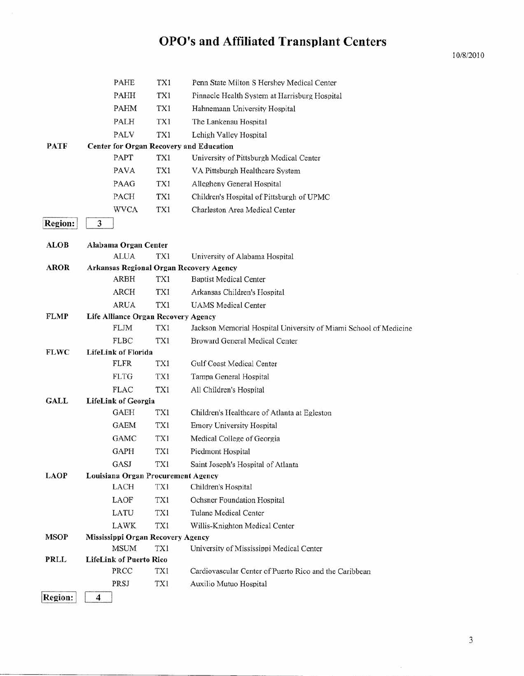|                | PAHE                                               | TX1 | Penn State Milton S Hershey Medical Center                       |
|----------------|----------------------------------------------------|-----|------------------------------------------------------------------|
|                | PAHH                                               | TX1 | Pinnacle Health System at Harrisburg Hospital                    |
|                | <b>PAHM</b>                                        | TX1 | Hahnemann University Hospital                                    |
|                | PALH                                               | TX1 | The Lankenau Hospital                                            |
|                | <b>PALV</b>                                        | TX1 | Lehigh Valley Hospital                                           |
| <b>PATF</b>    | Center for Organ Recovery and Education            |     |                                                                  |
|                | PAPT                                               | TX1 | University of Pittsburgh Medical Center                          |
|                | <b>PAVA</b>                                        | TX1 | VA Pittsburgh Healthcare System                                  |
|                | PAAG                                               | TX1 | Allegheny General Hospital                                       |
|                | PACH                                               | TX1 | Children's Hospital of Pittsburgh of UPMC                        |
|                | <b>WVCA</b>                                        | TX1 | Charleston Area Medical Center                                   |
| <b>Region:</b> | 3                                                  |     |                                                                  |
| ALOB           | Alabama Organ Center                               |     |                                                                  |
|                | <b>ALUA</b>                                        | TX1 | University of Alabama Hospital                                   |
| <b>AROR</b>    | Arkansas Regional Organ Recovery Agency            |     |                                                                  |
|                | <b>ARBH</b>                                        | TX1 | <b>Baptist Medical Center</b>                                    |
|                | <b>ARCH</b>                                        | TX1 | Arkansas Children's Hospital                                     |
| <b>FLMP</b>    | <b>ARUA</b><br>Life Alliance Organ Recovery Agency | TX1 | <b>UAMS</b> Medical Center                                       |
|                | <b>FLJM</b>                                        | TXI | Jackson Memorial Hospital University of Miami School of Medicine |
|                | <b>FLBC</b>                                        | TX1 | Broward General Medical Center                                   |
| <b>FLWC</b>    | <b>LifeLink of Florida</b>                         |     |                                                                  |
|                | <b>FLFR</b>                                        | TX1 | Gulf Coast Medical Center                                        |
|                | <b>FLTG</b>                                        | TX1 | Tampa General Hospital                                           |
|                | <b>FLAC</b>                                        | TX1 | All Children's Hospital                                          |
| GALL           | <b>LifeLink of Georgia</b>                         |     |                                                                  |
|                | GAEH                                               | TX1 | Children's Healthcare of Atlanta at Egleston                     |
|                | <b>GAEM</b>                                        | TX1 | Emory University Hospital                                        |
|                | <b>GAMC</b>                                        | TX1 | Medical College of Georgia                                       |
|                | <b>GAPH</b>                                        | TX1 | Piedmont Hospital                                                |
|                | GASJ                                               | TX1 | Saint Joseph's Hospital of Atlanta                               |
| <b>LAOP</b>    | Louisiana Organ Procurement Agency                 |     |                                                                  |
|                | LACH                                               | TX1 | Children's Hospital                                              |
|                | LAOF                                               | TX1 | Ochsner Foundation Hospital                                      |
|                | LATU                                               | TX1 | <b>Tulane Medical Center</b>                                     |
| <b>MSOP</b>    | LAWK                                               | TX1 | Willis-Knighton Medical Center                                   |
|                | Mississippi Organ Recovery Agency<br><b>MSUM</b>   | TX1 | University of Mississippi Medical Center                         |
| PRLL           | <b>LifeLink of Puerto Rico</b>                     |     |                                                                  |
|                | PRCC                                               | TX1 | Cardiovascular Center of Puerto Rico and the Caribbean           |
|                | PRSJ                                               | TX1 | Auxilio Mutuo Hospital                                           |
| Region:        | 4                                                  |     |                                                                  |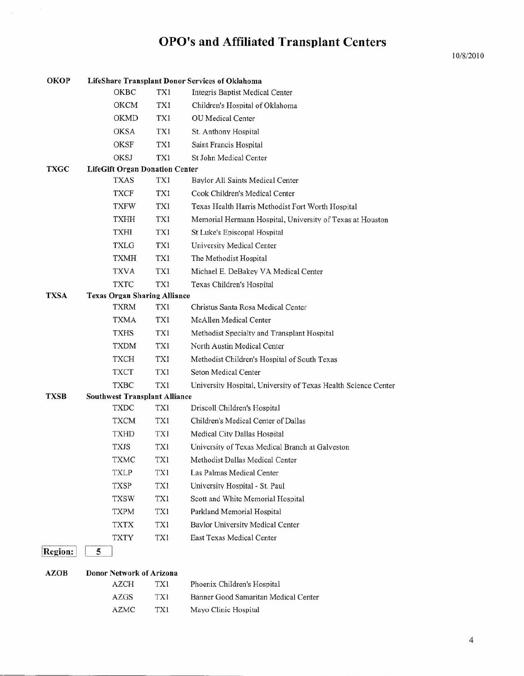| <b>OKOP</b>    |                                       |            | <b>LifeShare Transplant Donor Services of Oklahoma</b>         |
|----------------|---------------------------------------|------------|----------------------------------------------------------------|
|                | OKBC                                  | TX1        | Integris Baptist Medical Center                                |
|                | <b>OKCM</b>                           | TX1        | Children's Hospital of Oklahoma                                |
|                | <b>OKMD</b>                           | <b>TX1</b> | <b>OU</b> Medical Center                                       |
|                | <b>OKSA</b>                           | TX1        | St. Anthony Hospital                                           |
|                | <b>OKSF</b>                           | TX1        | Saint Francis Hospital                                         |
|                | OKSJ                                  | TX1        | St John Medical Center                                         |
| <b>TXGC</b>    | <b>LifeGift Organ Donation Center</b> |            |                                                                |
|                | <b>TXAS</b>                           | TX1        | Baylor All Saints Medical Center                               |
|                | <b>TXCF</b>                           | TX1        | Cook Children's Medical Center                                 |
|                | <b>TXFW</b>                           | TX1        | Texas Health Harris Methodist Fort Worth Hospital              |
|                | <b>TXHH</b>                           | TX1        | Memorial Hermann Hospital, University of Texas at Houston      |
|                | TXHI                                  | TX1        | St Luke's Episcopal Hospital                                   |
|                | <b>TXLG</b>                           | TX1        | University Medical Center                                      |
|                | <b>TXMH</b>                           | TX1        | The Methodist Hospital                                         |
|                | <b>TXVA</b>                           | TX1        | Michael E. DeBakey VA Medical Center                           |
|                | <b>TXTC</b>                           | TX1        | Texas Children's Hospital                                      |
| TXSA           | <b>Texas Organ Sharing Alliance</b>   |            |                                                                |
|                | <b>TXRM</b>                           | TX1        | Christus Santa Rosa Medical Center                             |
|                | <b>TXMA</b>                           | TX1        | McAllen Medical Center                                         |
|                | TXHS                                  | TX1        | Methodist Specialty and Transplant Hospital                    |
|                | <b>TXDM</b>                           | TX1        | North Austin Medical Center                                    |
|                | <b>TXCH</b>                           | TX1        | Methodist Children's Hospital of South Texas                   |
|                | <b>TXCT</b>                           | TX1        | Seton Medical Center                                           |
|                | <b>TXBC</b>                           | TX1        | University Hospital, University of Texas Health Science Center |
| TXSB           | <b>Southwest Transplant Alliance</b>  |            |                                                                |
|                | <b>TXDC</b>                           | TX1        | Driscoll Children's Hospital                                   |
|                | <b>TXCM</b>                           | TX1        | Children's Medical Center of Dallas                            |
|                | <b>TXHD</b>                           | TX1        | Medical City Dallas Hospital                                   |
|                | <b>TXJS</b>                           | TX1        | University of Texas Medical Branch at Galveston                |
|                | <b>TXMC</b>                           | TX1        | Methodist Dallas Medical Center                                |
|                | TXLP                                  | TX1        | Las Palmas Medical Center                                      |
|                | <b>TXSP</b>                           | TX1        | University Hospital - St. Paul                                 |
|                | TXSW                                  | TX1        | Scott and White Memorial Hospital                              |
|                | <b>TXPM</b>                           | TX1        | Parkland Memorial Hospital                                     |
|                | <b>TXTX</b>                           | TX1        | Baylor University Medical Center                               |
|                | <b>TXTY</b>                           | TX1        | East Texas Medical Center                                      |
| <b>Region:</b> | 5                                     |            |                                                                |
| <b>AZOB</b>    | <b>Donor Network of Arizona</b>       |            |                                                                |
|                | AZCH                                  | TX1        | Phoenix Children's Hospital                                    |
|                | AZGS                                  | TX1        | Banner Good Samaritan Medical Center                           |
|                | <b>AZMC</b>                           | TX1        | Mayo Clinic Hospital                                           |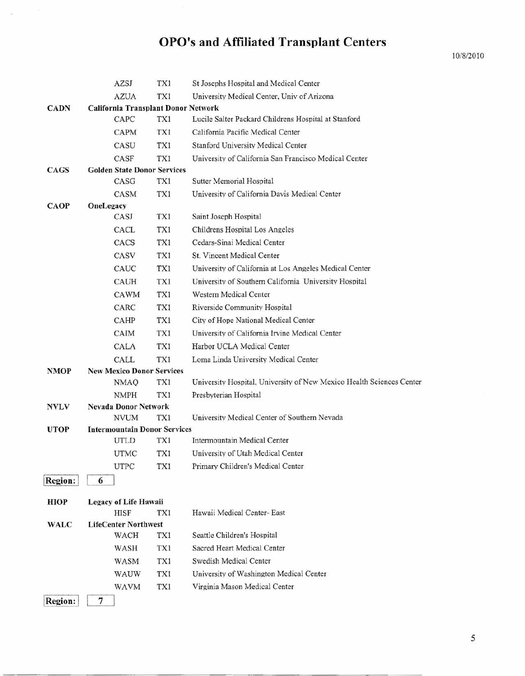|                | AZSJ                                       | TX1 | St Josephs Hospital and Medical Center                               |
|----------------|--------------------------------------------|-----|----------------------------------------------------------------------|
|                | <b>AZUA</b>                                | TX1 | University Medical Center, Univ of Arizona                           |
| <b>CADN</b>    | <b>California Transplant Donor Network</b> |     |                                                                      |
|                | CAPC                                       | TX1 | Lucile Salter Packard Childrens Hospital at Stanford                 |
|                | <b>CAPM</b>                                | TX1 | California Pacific Medical Center                                    |
|                | CASU                                       | TX1 | Stanford University Medical Center                                   |
|                | CASF                                       | TX1 | University of California San Francisco Medical Center                |
| <b>CAGS</b>    | <b>Golden State Donor Services</b>         |     |                                                                      |
|                | CASG                                       | TX1 | Sutter Memorial Hospital                                             |
|                | CASM                                       | TX1 | University of California Davis Medical Center                        |
| <b>CAOP</b>    | OneLegacy                                  |     |                                                                      |
|                | CASJ                                       | TX1 | Saint Joseph Hospital                                                |
|                | CACL                                       | TX1 | Childrens Hospital Los Angeles                                       |
|                | CACS                                       | TX1 | Cedars-Sinai Medical Center                                          |
|                | CASV                                       | TX1 | St. Vincent Medical Center                                           |
|                | CAUC                                       | TX1 | University of California at Los Angeles Medical Center               |
|                | <b>CAUH</b>                                | TX1 | University of Southern California University Hospital                |
|                | CAWM                                       | TX1 | <b>Western Medical Center</b>                                        |
|                | CARC                                       | TX1 | Riverside Community Hospital                                         |
|                | CAHP                                       | TX1 | City of Hope National Medical Center                                 |
|                | CAIM                                       | TX1 | University of California Irvine Medical Center                       |
|                | CALA                                       | TX1 | Harbor UCLA Medical Center                                           |
|                | CALL                                       | TX1 | Loma Linda University Medical Center                                 |
| <b>NMOP</b>    | <b>New Mexico Donor Services</b>           |     |                                                                      |
|                | NMAQ                                       | TX1 | University Hospital, University of New Mexico Health Sciences Center |
|                | <b>NMPH</b><br><b>Nevada Donor Network</b> | TX1 | Presbyterian Hospital                                                |
| <b>NVLV</b>    | <b>NVUM</b>                                | TX1 | University Medical Center of Southern Nevada                         |
| <b>UTOP</b>    | <b>Intermountain Donor Services</b>        |     |                                                                      |
|                | UTLD                                       | TX1 | Intermountain Medical Center                                         |
|                | <b>UTMC</b>                                | TX1 | University of Utah Medical Center                                    |
|                | <b>UTPC</b>                                | TX1 | Primary Children's Medical Center                                    |
| Region:        | 6                                          |     |                                                                      |
|                |                                            |     |                                                                      |
| <b>HIOP</b>    | <b>Legacy of Life Hawaii</b>               |     |                                                                      |
|                | <b>HISF</b>                                | TX1 | Hawaii Medical Center- East                                          |
| <b>WALC</b>    | <b>LifeCenter Northwest</b>                |     |                                                                      |
|                | WACH                                       | TX1 | Seattle Children's Hospital                                          |
|                | WASH                                       | TX1 | Sacred Heart Medical Center                                          |
|                | <b>WASM</b>                                | TX1 | Swedish Medical Center                                               |
|                | WAUW                                       | TX1 | University of Washington Medical Center                              |
|                | <b>WAVM</b>                                | TX1 | Virginia Mason Medical Center                                        |
| <b>Region:</b> | 7                                          |     |                                                                      |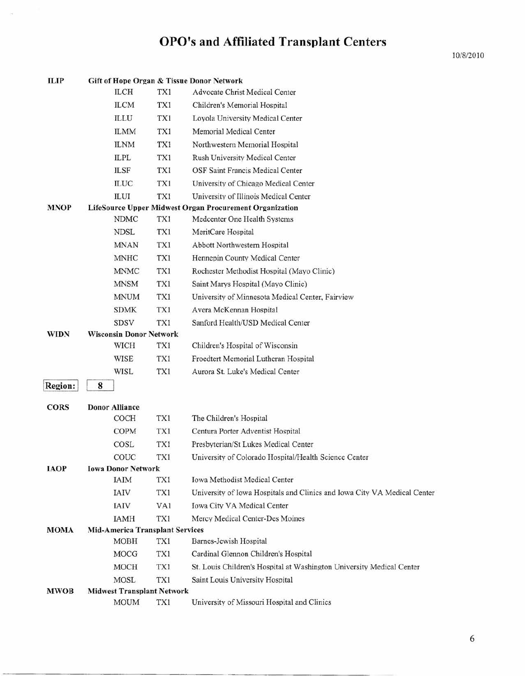| <b>ILIP</b> |                                        |             |     | Gift of Hope Organ & Tissue Donor Network                                |
|-------------|----------------------------------------|-------------|-----|--------------------------------------------------------------------------|
|             |                                        | <b>ILCH</b> | TX1 | Advocate Christ Medical Center                                           |
|             |                                        | <b>ILCM</b> | TX1 | Children's Memorial Hospital                                             |
|             |                                        | ILLU        | TX1 | Loyola University Medical Center                                         |
|             |                                        | <b>ILMM</b> | TXI | Memorial Medical Center                                                  |
|             |                                        | <b>ILNM</b> | TX1 | Northwestern Memorial Hospital                                           |
|             | <b>ILPL</b>                            |             | TX1 | Rush University Medical Center                                           |
|             | <b>ILSF</b>                            |             | TXI | OSF Saint Francis Medical Center                                         |
|             |                                        | <b>ILUC</b> | TX1 | University of Chicago Medical Center                                     |
|             | <b>ILUI</b>                            |             | TXI | University of Illinois Medical Center                                    |
| <b>MNOP</b> |                                        |             |     | LifeSource Upper Midwest Organ Procurement Organization                  |
|             |                                        | <b>NDMC</b> | TX1 | Medcenter One Health Systems                                             |
|             |                                        | <b>NDSL</b> | TX1 | MeritCare Hospital                                                       |
|             |                                        | <b>MNAN</b> | TX1 | Abbott Northwestern Hospital                                             |
|             |                                        | <b>MNHC</b> | TX1 | Hennepin County Medical Center                                           |
|             |                                        | <b>MNMC</b> | TX1 | Rochester Methodist Hospital (Mayo Clinic)                               |
|             |                                        | <b>MNSM</b> | TX1 | Saint Marys Hospital (Mayo Clinic)                                       |
|             |                                        | <b>MNUM</b> | TX1 | University of Minnesota Medical Center, Fairview                         |
|             |                                        | <b>SDMK</b> | TX1 | Avera McKennan Hospital                                                  |
|             |                                        | SDSV        | TX1 | Sanford Health/USD Medical Center                                        |
| <b>WIDN</b> | <b>Wisconsin Donor Network</b>         |             |     |                                                                          |
|             |                                        | WICH        | TX1 | Children's Hospital of Wisconsin                                         |
|             |                                        | <b>WISE</b> | TX1 | Froedtert Memorial Lutheran Hospital                                     |
|             |                                        | WISL        | TX1 | Aurora St. Luke's Medical Center                                         |
| Region:     | 8                                      |             |     |                                                                          |
| CORS        | <b>Donor Alliance</b>                  |             |     |                                                                          |
|             |                                        | <b>COCH</b> | TX1 | The Children's Hospital                                                  |
|             |                                        | <b>COPM</b> | TX1 | Centura Porter Adventist Hospital                                        |
|             |                                        | <b>COSL</b> | TX1 | Presbyterian/St Lukes Medical Center                                     |
|             |                                        | COUC        | TX1 | University of Colorado Hospital/Health Science Center                    |
| <b>IAOP</b> | <b>Iowa Donor Network</b>              |             |     |                                                                          |
|             |                                        | <b>IAIM</b> | TX1 | <b>Iowa Methodist Medical Center</b>                                     |
|             | IAIV                                   |             | TX1 | University of Iowa Hospitals and Clinics and Iowa City VA Medical Center |
|             | <b>IAIV</b>                            |             | VA1 | Iowa City VA Medical Center                                              |
|             |                                        | <b>IAMH</b> | TX1 | Mercy Medical Center-Des Moines                                          |
| <b>MOMA</b> | <b>Mid-America Transplant Services</b> |             |     |                                                                          |
|             |                                        | <b>MOBH</b> | TX1 | Barnes-Jewish Hospital                                                   |
|             |                                        | MOCG        | TX1 | Cardinal Glennon Children's Hospital                                     |
|             |                                        | MOCH        | TX1 | St. Louis Children's Hospital at Washington University Medical Center    |
|             |                                        | MOSL        | TX1 | Saint Louis University Hospital                                          |

MWOB Midwest Transplant Network MOUM TXl University of Missouri Hospital and Clinics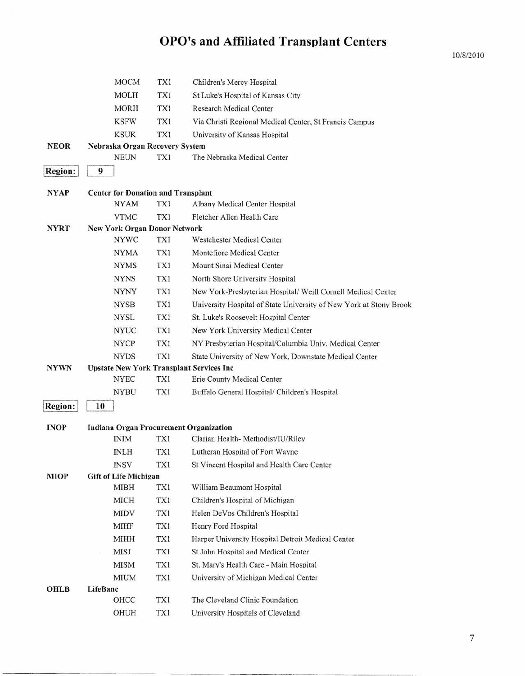MOCM TXI Children's Mercy Hospital MOLH TXl St Luke's Hospital of Kansas City MORH TXl Research Medical Center KSFW TXI Via Christi Regional Medical Center, St Francis Campus KSUK TXl University of Kansas Hospital NEOR Nebraska Organ Recovery System NEUN TXl The Nebraska Medical Center  $\lvert \text{Region:} \rvert \quad 9$ NYAP Center for Donation and Transplant NYAM TX1 Albany Medical Center Hospital VTMC TXl Fletcher Allen Health Care NYRT New York Organ Donor Network NYWC TXI Westchester Medical Center NYMA TXl Montefiore Medical Center NYMS TXl Mount Sinai Medical Center NYNS TXl North Shore University Hospital NYNY TX1 New York-Presbyterian Hospital/ Weill Cornell Medical Center NYSB TXl University Hospital of State University of New York at Stony Brook NYSL TXI St. Luke's Roosevelt Hospital Center NYUC TXl New York University Medical Center NYCP TXI NY Presbyterian Hospital/Columbia Univ. Medical Center NYDS TXl State University of New York, Downstate Medical Center NYWN Upstate New York Transplant Services Inc NYEC TXl Erie County Medical Center NYBU TXI Buffalo General Hospital/ Children's Hospital Region: 10 INOP Indiana Organ Procurement Organization INIM TX1 Clarian Health- Methodist/IU/Riley INLH TXl Lutheran Hospital of Fort Wayne INSV TXl St Vincent Hospital and Health Care Center MIOP Gift of Life Michigan MIBH TX1 William Beaumont Hospital MICH TXl Children's Hospital of Michigan MIDV TXI Helen DeVos Children's Hospital MIHF TXl Henry Ford Hospital MIHH TXl Harper University Hospital Detroit Medical Center MISJ TXl St John Hospital and Medical Center MISM TX1 St. Mary's Health Care - Main Hospital MIUM TXl University of Michigan Medical Center OHLB LifeBanc

> OHCC TXl The Cleveland Clinic Foundation OHUH TXl University Hospitals of Cleveland